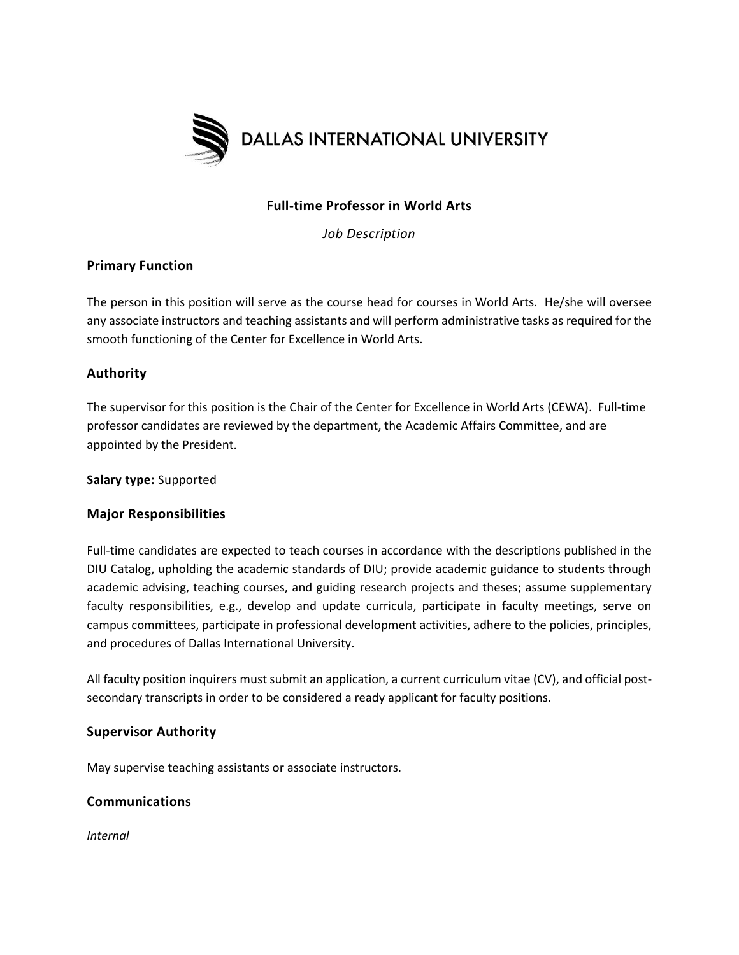

# **Full-time Professor in World Arts**

*Job Description*

## **Primary Function**

The person in this position will serve as the course head for courses in World Arts. He/she will oversee any associate instructors and teaching assistants and will perform administrative tasks as required for the smooth functioning of the Center for Excellence in World Arts.

## **Authority**

The supervisor for this position is the Chair of the Center for Excellence in World Arts (CEWA). Full-time professor candidates are reviewed by the department, the Academic Affairs Committee, and are appointed by the President.

**Salary type:** Supported

## **Major Responsibilities**

Full-time candidates are expected to teach courses in accordance with the descriptions published in the DIU Catalog, upholding the academic standards of DIU; provide academic guidance to students through academic advising, teaching courses, and guiding research projects and theses; assume supplementary faculty responsibilities, e.g., develop and update curricula, participate in faculty meetings, serve on campus committees, participate in professional development activities, adhere to the policies, principles, and procedures of Dallas International University.

All faculty position inquirers must submit an application, a current curriculum vitae (CV), and official postsecondary transcripts in order to be considered a ready applicant for faculty positions.

#### **Supervisor Authority**

May supervise teaching assistants or associate instructors.

## **Communications**

*Internal*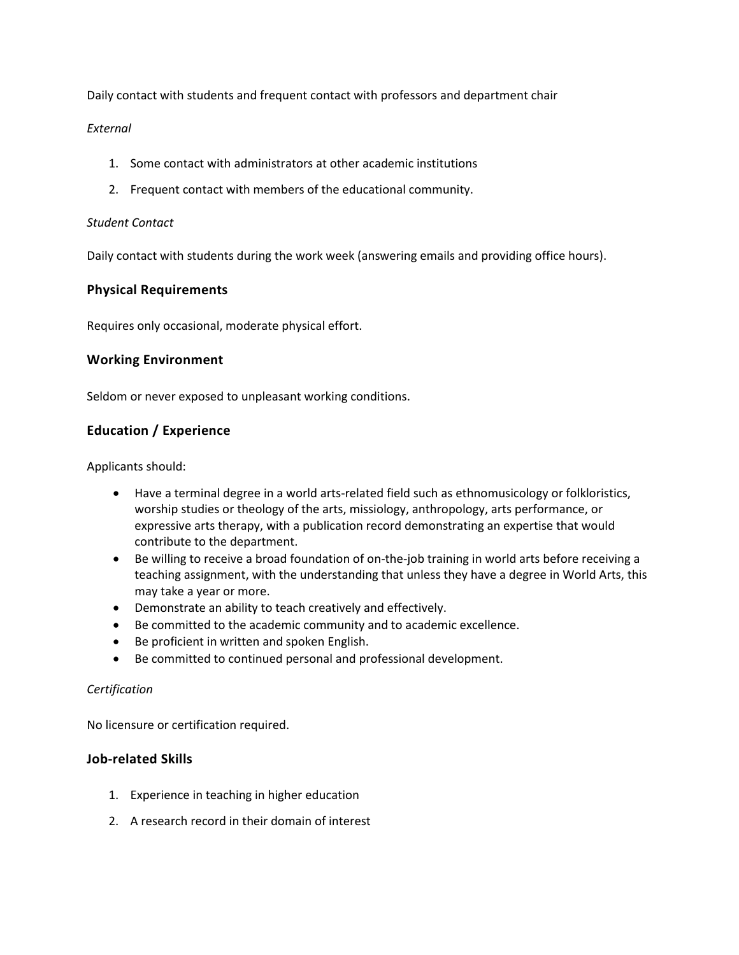Daily contact with students and frequent contact with professors and department chair

#### *External*

- 1. Some contact with administrators at other academic institutions
- 2. Frequent contact with members of the educational community.

#### *Student Contact*

Daily contact with students during the work week (answering emails and providing office hours).

### **Physical Requirements**

Requires only occasional, moderate physical effort.

### **Working Environment**

Seldom or never exposed to unpleasant working conditions.

# **Education / Experience**

Applicants should:

- Have a terminal degree in a world arts-related field such as ethnomusicology or folkloristics, worship studies or theology of the arts, missiology, anthropology, arts performance, or expressive arts therapy, with a publication record demonstrating an expertise that would contribute to the department.
- Be willing to receive a broad foundation of on-the-job training in world arts before receiving a teaching assignment, with the understanding that unless they have a degree in World Arts, this may take a year or more.
- Demonstrate an ability to teach creatively and effectively.
- Be committed to the academic community and to academic excellence.
- Be proficient in written and spoken English.
- Be committed to continued personal and professional development.

#### *Certification*

No licensure or certification required.

#### **Job-related Skills**

- 1. Experience in teaching in higher education
- 2. A research record in their domain of interest